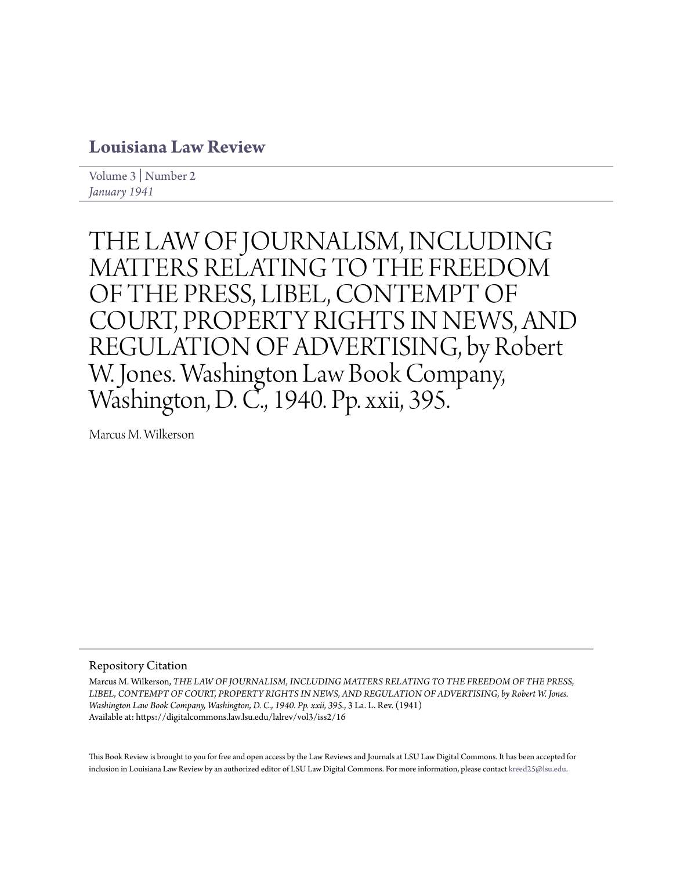## **[Louisiana Law Review](https://digitalcommons.law.lsu.edu/lalrev)**

[Volume 3](https://digitalcommons.law.lsu.edu/lalrev/vol3) | [Number 2](https://digitalcommons.law.lsu.edu/lalrev/vol3/iss2) *[January 1941](https://digitalcommons.law.lsu.edu/lalrev/vol3/iss2)*

THE LAW OF JOURNALISM, INCLUDING MATTERS RELATING TO THE FREEDOM OF THE PRESS, LIBEL, CONTEMPT OF COURT, PROPERTY RIGHTS IN NEWS, AND REGULATION OF ADVERTISING, by Robert W. Jones. Washington Law Book Company, Washington, D. C., 1940. Pp. xxii, 395.

Marcus M. Wilkerson

Repository Citation

Marcus M. Wilkerson, *THE LAW OF JOURNALISM, INCLUDING MATTERS RELATING TO THE FREEDOM OF THE PRESS, LIBEL, CONTEMPT OF COURT, PROPERTY RIGHTS IN NEWS, AND REGULATION OF ADVERTISING, by Robert W. Jones. Washington Law Book Company, Washington, D. C., 1940. Pp. xxii, 395.*, 3 La. L. Rev. (1941) Available at: https://digitalcommons.law.lsu.edu/lalrev/vol3/iss2/16

This Book Review is brought to you for free and open access by the Law Reviews and Journals at LSU Law Digital Commons. It has been accepted for inclusion in Louisiana Law Review by an authorized editor of LSU Law Digital Commons. For more information, please contact [kreed25@lsu.edu](mailto:kreed25@lsu.edu).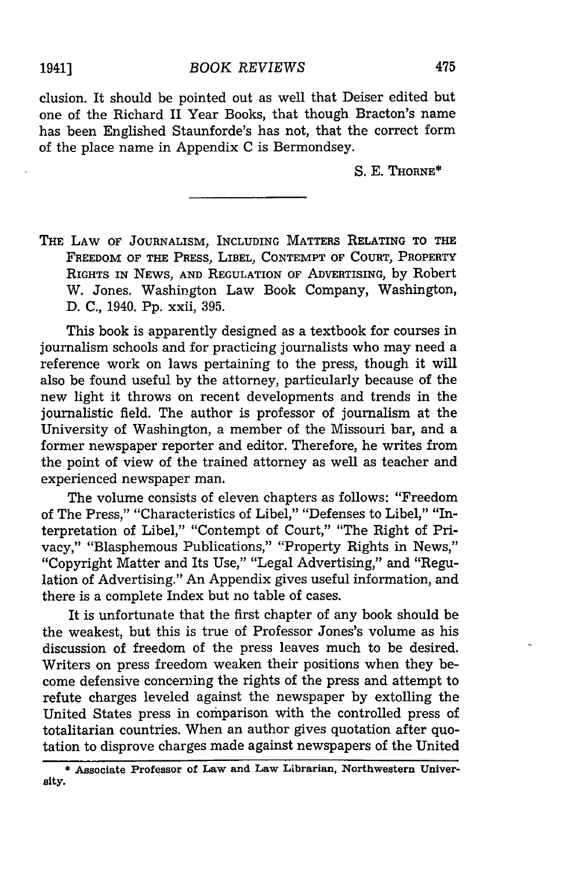clusion. It should be pointed out as well that Deiser edited but one of the Richard II Year Books, that though Bracton's name has been Englished Staunforde's has not, that the correct form of the place name in Appendix C is Bermondsey.

**S. E.** THORNE\*

THE LAW OF JOURNALISM, INCLUDING MATTERS RELATING TO THE FREEDOM OF THE PRESS, LIBEL, **CONTEMPT** OF COURT, PROPERTY RIGHTS IN **NEWS, AND** REGULATION OF ADVERTISING, by Robert W. Jones. Washington Law Book Company, Washington, **D. C.,** 1940. **Pp.** xxii, **395.**

This book is apparently designed as a textbook for courses in journalism schools and for practicing journalists who may need a reference work on laws pertaining to the press, though it will also be found useful **by** the attorney, particularly because of the new light it throws on recent developments and trends in the journalistic field. The author is professor of journalism at the University of Washington, a member of the Missouri bar, and a former newspaper reporter and editor. Therefore, he writes from the point of view of the trained attorney as well as teacher and experienced newspaper man.

The volume consists of eleven chapters as follows: "Freedom of The Press," "Characteristics of Libel," "Defenses to Libel," "Interpretation of Libel," "Contempt of Court," "The Right of Privacy," "Blasphemous Publications," "Property Rights in News," "Copyright Matter and Its Use," "Legal Advertising," and "Regulation of Advertising." An Appendix gives useful information, and there is a complete Index but no table of cases.

It is unfortunate that the first chapter of any book should be the weakest, but this is true of Professor Jones's volume as his discussion of freedom of the press leaves much to be desired. Writers on press freedom weaken their positions when they become defensive concerning the rights of the press and attempt to refute charges leveled against the newspaper **by** extolling the United States press in comparison with the controlled press of totalitarian countries. When an author gives quotation after quotation to disprove charges made against newspapers of the United

<sup>\*</sup> **Associate Professor of Law and Law Librarian, Northwestern University.**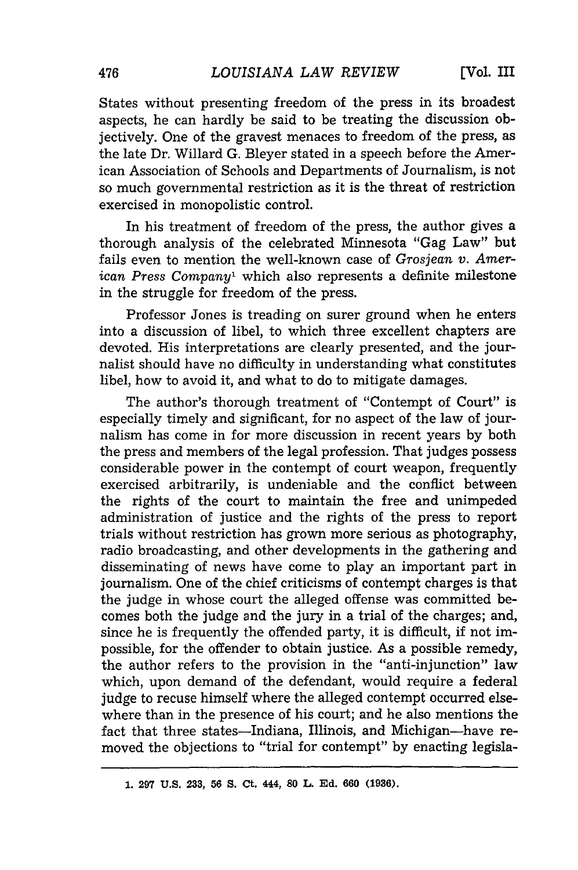States without presenting freedom of the press in its broadest aspects, he can hardly be said to be treating the discussion objectively. One of the gravest menaces to freedom of the press, as the late Dr. Willard G. Bleyer stated in a speech before the American Association of Schools and Departments of Journalism, is not so much governmental restriction as it is the threat of restriction exercised in monopolistic control.

In his treatment of freedom of the press, the author gives a thorough analysis of the celebrated Minnesota "Gag Law" but fails even to mention the well-known case of *Grosjean v. American Press Company1* which also represents a definite milestone in the struggle for freedom of the press.

Professor Jones is treading on surer ground when he enters into a discussion of libel, to which three excellent chapters are devoted. His interpretations are clearly presented, and the journalist should have no difficulty in understanding what constitutes libel, how to avoid it, and what to do to mitigate damages.

The author's thorough treatment of "Contempt of Court" is especially timely and significant, for no aspect of the law of journalism has come in for more discussion in recent years by both the press and members of the legal profession. That judges possess considerable power in the contempt of court weapon, frequently exercised arbitrarily, is undeniable and the conflict between the rights of the court to maintain the free and unimpeded administration of justice and the rights of the press to report trials without restriction has grown more serious as photography, radio broadcasting, and other developments in the gathering and disseminating of news have come to play an important part in journalism. One of the chief criticisms of contempt charges is that the judge in whose court the alleged offense was committed becomes both the judge and the jury in a trial of the charges; and, since he is frequently the offended party, it is difficult, if not impossible, for the offender to obtain justice. As a possible remedy, the author refers to the provision in the "anti-injunction" law which, upon demand of the defendant, would require a federal judge to recuse himself where the alleged contempt occurred elsewhere than in the presence of his court; and he also mentions the fact that three states-Indiana, Illinois, and Michigan-have removed the objections to "trial for contempt" by enacting legisla-

**<sup>1. 297</sup> U.S. 233, 56 S. Ct. 444, 80 L. Ed. 660 (1936).**